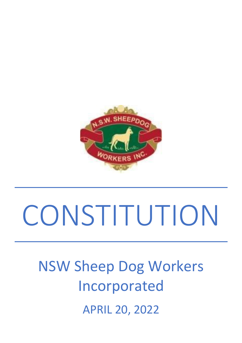

# **CONSTITUTION**

## NSW Sheep Dog Workers Incorporated APRIL 20, 2022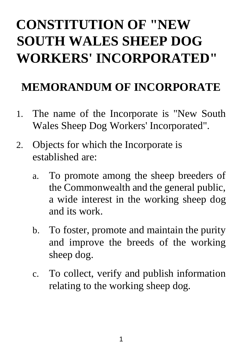### **CONSTITUTION OF "NEW SOUTH WALES SHEEP DOG WORKERS' INCORPORATED"**

#### **MEMORANDUM OF INCORPORATE**

- 1. The name of the Incorporate is "New South Wales Sheep Dog Workers' Incorporated".
- 2. Objects for which the Incorporate is established are:
	- a. To promote among the sheep breeders of the Commonwealth and the general public, a wide interest in the working sheep dog and its work.
	- b. To foster, promote and maintain the purity and improve the breeds of the working sheep dog.
	- c. To collect, verify and publish information relating to the working sheep dog.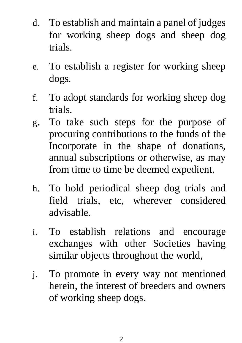- d. To establish and maintain a panel of judges for working sheep dogs and sheep dog trials.
- e. To establish a register for working sheep dogs.
- f. To adopt standards for working sheep dog trials.
- g. To take such steps for the purpose of procuring contributions to the funds of the Incorporate in the shape of donations, annual subscriptions or otherwise, as may from time to time be deemed expedient.
- h. To hold periodical sheep dog trials and field trials, etc, wherever considered advisable.
- i. To establish relations and encourage exchanges with other Societies having similar objects throughout the world,
- j. To promote in every way not mentioned herein, the interest of breeders and owners of working sheep dogs.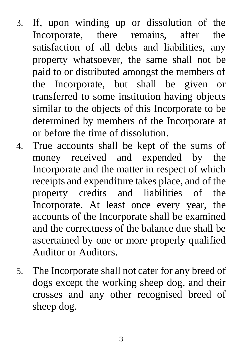- 3. If, upon winding up or dissolution of the Incorporate, there remains, after the satisfaction of all debts and liabilities, any property whatsoever, the same shall not be paid to or distributed amongst the members of the Incorporate, but shall be given or transferred to some institution having objects similar to the objects of this Incorporate to be determined by members of the Incorporate at or before the time of dissolution.
- 4. True accounts shall be kept of the sums of money received and expended by the Incorporate and the matter in respect of which receipts and expenditure takes place, and of the property credits and liabilities of the Incorporate. At least once every year, the accounts of the Incorporate shall be examined and the correctness of the balance due shall be ascertained by one or more properly qualified Auditor or Auditors.
- 5. The Incorporate shall not cater for any breed of dogs except the working sheep dog, and their crosses and any other recognised breed of sheep dog.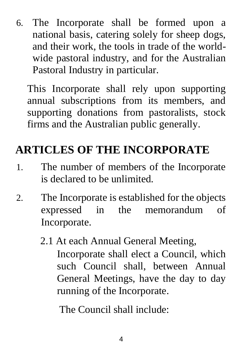6. The Incorporate shall be formed upon a national basis, catering solely for sheep dogs, and their work, the tools in trade of the worldwide pastoral industry, and for the Australian Pastoral Industry in particular.

This Incorporate shall rely upon supporting annual subscriptions from its members, and supporting donations from pastoralists, stock firms and the Australian public generally.

#### **ARTICLES OF THE INCORPORATE**

- 1. The number of members of the Incorporate is declared to be unlimited.
- 2. The Incorporate is established for the objects expressed in the memorandum of Incorporate.
	- 2.1 At each Annual General Meeting, Incorporate shall elect a Council, which such Council shall, between Annual General Meetings, have the day to day running of the Incorporate.

The Council shall include: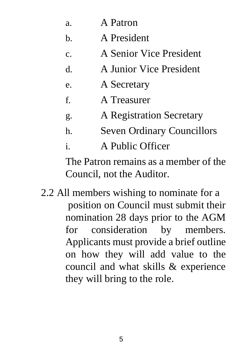| a. | A Patron |
|----|----------|
|    |          |

- b. A President
- c. A Senior Vice President
- d. A Junior Vice President
- e. A Secretary
- f. A Treasurer
- g. A Registration Secretary
- h. Seven Ordinary Councillors
- i. A Public Officer

The Patron remains as a member of the Council, not the Auditor.

2.2 All members wishing to nominate for a position on Council must submit their nomination 28 days prior to the AGM for consideration by members. Applicants must provide a brief outline on how they will add value to the council and what skills & experience they will bring to the role.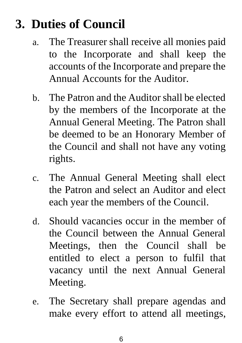#### **3. Duties of Council**

- a. The Treasurer shall receive all monies paid to the Incorporate and shall keep the accounts of the Incorporate and prepare the Annual Accounts for the Auditor.
- b. The Patron and the Auditor shall be elected by the members of the Incorporate at the Annual General Meeting. The Patron shall be deemed to be an Honorary Member of the Council and shall not have any voting rights.
- c. The Annual General Meeting shall elect the Patron and select an Auditor and elect each year the members of the Council.
- d. Should vacancies occur in the member of the Council between the Annual General Meetings, then the Council shall be entitled to elect a person to fulfil that vacancy until the next Annual General Meeting.
- e. The Secretary shall prepare agendas and make every effort to attend all meetings,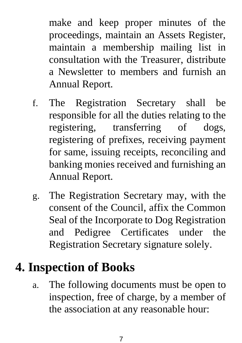make and keep proper minutes of the proceedings, maintain an Assets Register, maintain a membership mailing list in consultation with the Treasurer, distribute a Newsletter to members and furnish an Annual Report.

- f. The Registration Secretary shall be responsible for all the duties relating to the registering, transferring of dogs, registering of prefixes, receiving payment for same, issuing receipts, reconciling and banking monies received and furnishing an Annual Report.
- g. The Registration Secretary may, with the consent of the Council, affix the Common Seal of the Incorporate to Dog Registration and Pedigree Certificates under the Registration Secretary signature solely.

#### **4. Inspection of Books**

a. The following documents must be open to inspection, free of charge, by a member of the association at any reasonable hour: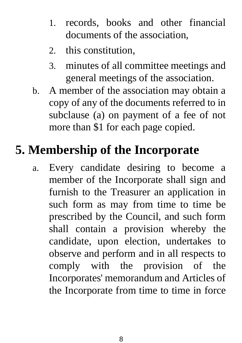- 1. records, books and other financial documents of the association,
- 2. this constitution,
- 3. minutes of all committee meetings and general meetings of the association.
- b. A member of the association may obtain a copy of any of the documents referred to in subclause (a) on payment of a fee of not more than \$1 for each page copied.

#### **5. Membership of the Incorporate**

a. Every candidate desiring to become a member of the Incorporate shall sign and furnish to the Treasurer an application in such form as may from time to time be prescribed by the Council, and such form shall contain a provision whereby the candidate, upon election, undertakes to observe and perform and in all respects to comply with the provision of the Incorporates' memorandum and Articles of the Incorporate from time to time in force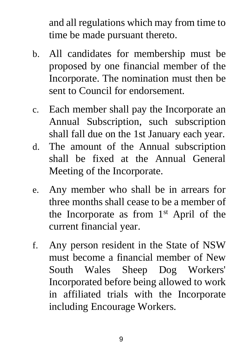and all regulations which may from time to time be made pursuant thereto.

- b. All candidates for membership must be proposed by one financial member of the Incorporate. The nomination must then be sent to Council for endorsement.
- c. Each member shall pay the Incorporate an Annual Subscription, such subscription shall fall due on the 1st January each year.
- d. The amount of the Annual subscription shall be fixed at the Annual General Meeting of the Incorporate.
- e. Any member who shall be in arrears for three months shall cease to be a member of the Incorporate as from  $1<sup>st</sup>$  April of the current financial year.
- f. Any person resident in the State of NSW must become a financial member of New South Wales Sheep Dog Workers' Incorporated before being allowed to work in affiliated trials with the Incorporate including Encourage Workers.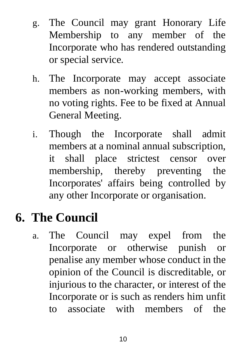- g. The Council may grant Honorary Life Membership to any member of the Incorporate who has rendered outstanding or special service.
- h. The Incorporate may accept associate members as non-working members, with no voting rights. Fee to be fixed at Annual General Meeting.
- i. Though the Incorporate shall admit members at a nominal annual subscription, it shall place strictest censor over membership, thereby preventing the Incorporates' affairs being controlled by any other Incorporate or organisation.

#### **6. The Council**

a. The Council may expel from the Incorporate or otherwise punish or penalise any member whose conduct in the opinion of the Council is discreditable, or injurious to the character, or interest of the Incorporate or is such as renders him unfit to associate with members of the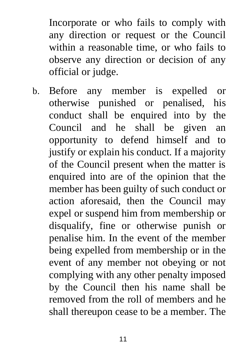Incorporate or who fails to comply with any direction or request or the Council within a reasonable time, or who fails to observe any direction or decision of any official or judge.

b. Before any member is expelled or otherwise punished or penalised, his conduct shall be enquired into by the Council and he shall be given an opportunity to defend himself and to justify or explain his conduct. If a majority of the Council present when the matter is enquired into are of the opinion that the member has been guilty of such conduct or action aforesaid, then the Council may expel or suspend him from membership or disqualify, fine or otherwise punish or penalise him. In the event of the member being expelled from membership or in the event of any member not obeying or not complying with any other penalty imposed by the Council then his name shall be removed from the roll of members and he shall thereupon cease to be a member. The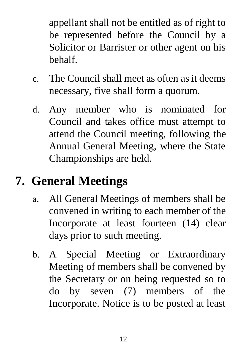appellant shall not be entitled as of right to be represented before the Council by a Solicitor or Barrister or other agent on his behalf.

- c. The Council shall meet as often as it deems necessary, five shall form a quorum.
- d. Any member who is nominated for Council and takes office must attempt to attend the Council meeting, following the Annual General Meeting, where the State Championships are held.

#### **7. General Meetings**

- a. All General Meetings of members shall be convened in writing to each member of the Incorporate at least fourteen (14) clear days prior to such meeting.
- b. A Special Meeting or Extraordinary Meeting of members shall be convened by the Secretary or on being requested so to do by seven (7) members of the Incorporate. Notice is to be posted at least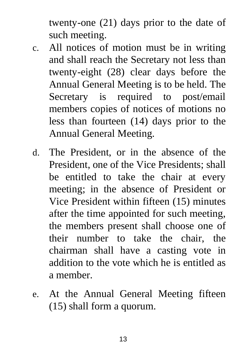twenty-one (21) days prior to the date of such meeting.

- c. All notices of motion must be in writing and shall reach the Secretary not less than twenty-eight (28) clear days before the Annual General Meeting is to be held. The Secretary is required to post/email members copies of notices of motions no less than fourteen (14) days prior to the Annual General Meeting.
- d. The President, or in the absence of the President, one of the Vice Presidents; shall be entitled to take the chair at every meeting; in the absence of President or Vice President within fifteen (15) minutes after the time appointed for such meeting, the members present shall choose one of their number to take the chair, the chairman shall have a casting vote in addition to the vote which he is entitled as a member.
- e. At the Annual General Meeting fifteen (15) shall form a quorum.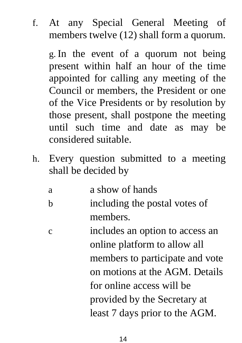f. At any Special General Meeting of members twelve (12) shall form a quorum.

g. In the event of a quorum not being present within half an hour of the time appointed for calling any meeting of the Council or members, the President or one of the Vice Presidents or by resolution by those present, shall postpone the meeting until such time and date as may be considered suitable.

h. Every question submitted to a meeting shall be decided by

a a show of hands b including the postal votes of members.

c includes an option to access an online platform to allow all members to participate and vote on motions at the AGM. Details for online access will be provided by the Secretary at least 7 days prior to the AGM.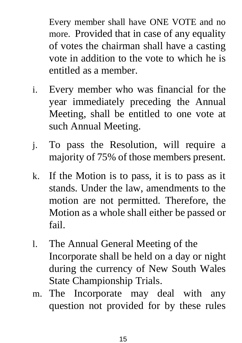Every member shall have ONE VOTE and no more. Provided that in case of any equality of votes the chairman shall have a casting vote in addition to the vote to which he is entitled as a member.

- i. Every member who was financial for the year immediately preceding the Annual Meeting, shall be entitled to one vote at such Annual Meeting.
- j. To pass the Resolution, will require a majority of 75% of those members present.
- k. If the Motion is to pass, it is to pass as it stands. Under the law, amendments to the motion are not permitted. Therefore, the Motion as a whole shall either be passed or fail.
- l. The Annual General Meeting of the Incorporate shall be held on a day or night during the currency of New South Wales State Championship Trials.
- m. The Incorporate may deal with any question not provided for by these rules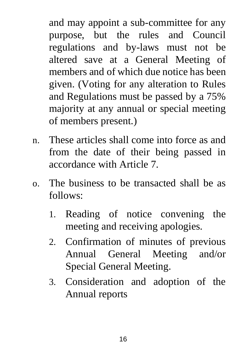and may appoint a sub-committee for any purpose, but the rules and Council regulations and by-laws must not be altered save at a General Meeting of members and of which due notice has been given. (Voting for any alteration to Rules and Regulations must be passed by a 75% majority at any annual or special meeting of members present.)

- n. These articles shall come into force as and from the date of their being passed in accordance with Article 7.
- o. The business to be transacted shall be as follows:
	- 1. Reading of notice convening the meeting and receiving apologies.
	- 2. Confirmation of minutes of previous Annual General Meeting and/or Special General Meeting.
	- 3. Consideration and adoption of the Annual reports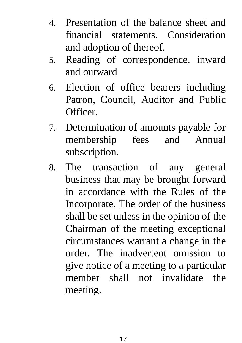- 4. Presentation of the balance sheet and financial statements. Consideration and adoption of thereof.
- 5. Reading of correspondence, inward and outward
- 6. Election of office bearers including Patron, Council, Auditor and Public Officer.
- 7. Determination of amounts payable for membership fees and Annual subscription.
- 8. The transaction of any general business that may be brought forward in accordance with the Rules of the Incorporate. The order of the business shall be set unless in the opinion of the Chairman of the meeting exceptional circumstances warrant a change in the order. The inadvertent omission to give notice of a meeting to a particular member shall not invalidate the meeting.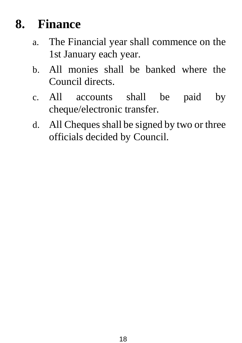#### **8. Finance**

- a. The Financial year shall commence on the 1st January each year.
- b. All monies shall be banked where the Council directs.
- c. All accounts shall be paid by cheque/electronic transfer.
- d. All Cheques shall be signed by two or three officials decided by Council.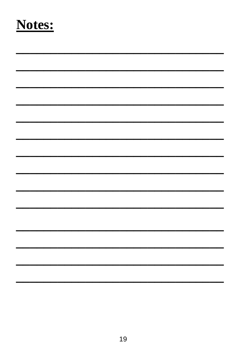#### Notes: